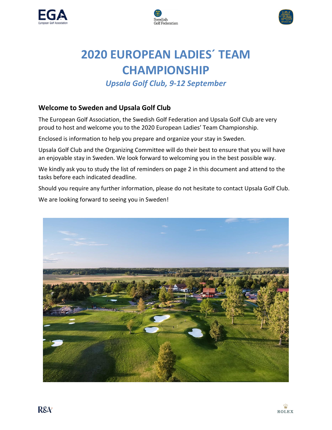





# **2020 EUROPEAN LADIES´ TEAM CHAMPIONSHIP**

## *Upsala Golf Club, 9-12 September*

## **Welcome to Sweden and Upsala Golf Club**

The European Golf Association, the Swedish Golf Federation and Upsala Golf Club are very proud to host and welcome you to the 2020 European Ladies' Team Championship.

Enclosed is information to help you prepare and organize your stay in Sweden.

Upsala Golf Club and the Organizing Committee will do their best to ensure that you will have an enjoyable stay in Sweden. We look forward to welcoming you in the best possible way.

We kindly ask you to study the list of reminders on page 2 in this document and attend to the tasks before each indicated deadline.

Should you require any further information, please do not hesitate to contact Upsala Golf Club.

We are looking forward to seeing you in Sweden!

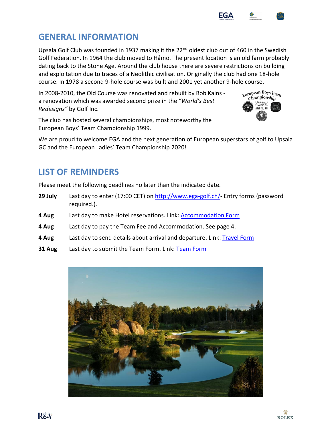$R\&\mathcal{X}$ 



Upsala Golf Club was founded in 1937 making it the 22<sup>nd</sup> oldest club out of 460 in the Swedish Golf Federation. In 1964 the club moved to Håmö. The present location is an old farm probably dating back to the Stone Age. Around the club house there are severe restrictions on building and exploitation due to traces of a Neolithic civilisation. Originally the club had one 18-hole course. In 1978 a second 9-hole course was built and 2001 yet another 9-hole course.

In 2008-2010, the Old Course was renovated and rebuilt by Bob Kains a renovation which was awarded second prize in the *"World's Best Redesigns"* by Golf Inc.

The club has hosted several championships, most noteworthy the European Boys' Team Championship 1999.

We are proud to welcome EGA and the next generation of European superstars of golf to Upsala GC and the European Ladies' Team Championship 2020!

## **LIST OF REMINDERS**

Please meet the following deadlines no later than the indicated date.

- **29 July** Last day to enter (17:00 CET) on [http://www.ega-golf.ch/-](http://www.ega-golf.ch/) Entry forms (password required.).
- **4 Aug** Last day to make Hotel reservations. Link: [Accommodation Form](https://formogr.am/SVH8Izx8Mo)
- **4 Aug** Last day to pay the Team Fee and Accommodation. See page 4.
- **4 Aug** Last day to send details about arrival and departure. Link: [Travel Form](https://formogr.am/nm2pgxq8Mo)
- **31 Aug** Last day to submit the Team Form. Link: [Team Form](https://www.esmaker.net/nx2/s.aspx?id=4f90ce5ca4f5)







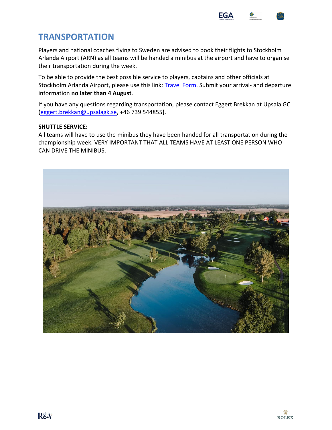

## **TRANSPORTATION**

Players and national coaches flying to Sweden are advised to book their flights to Stockholm Arlanda Airport (ARN) as all teams will be handed a minibus at the airport and have to organise their transportation during the week.

To be able to provide the best possible service to players, captains and other officials at Stockholm Arlanda Airport, please use this link: [Travel Form.](https://formogr.am/nm2pgxq8Mo) Submit your arrival- and departure information **no later than 4 August**.

If you have any questions regarding transportation, please contact Eggert Brekkan at Upsala GC [\(eggert.brekkan@upsalagk.se,](mailto:eggert.brekkan@upsalagk.se) +46 739 544855**)**.

### **SHUTTLE SERVICE:**

All teams will have to use the minibus they have been handed for all transportation during the championship week. VERY IMPORTANT THAT ALL TEAMS HAVE AT LEAST ONE PERSON WHO CAN DRIVE THE MINIBUS.

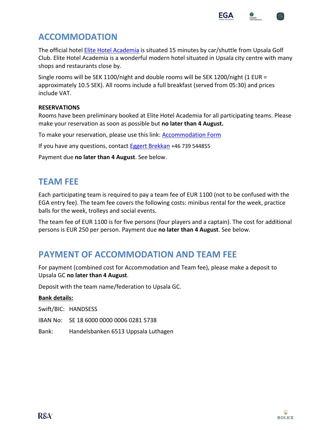

## **ACCOMMODATION**

The official hotel [Elite Hotel Academia](https://www.elite.se/en/hotels/uppsala/hotel-academia/?utm_source=google&utm_medium=organic&utm_campaign=google-local&utm_content=uppsala) is situated 15 minutes by car/shuttle from Upsala Golf Club. Elite Hotel Academia is a wonderful modern hotel situated in Upsala city centre with many shops and restaurants close by.

Single rooms will be SEK 1100/night and double rooms will be SEK 1200/night (1 EUR = approximately 10.5 SEK). All rooms include a full breakfast (served from 05:30) and prices include VAT.

### **RESERVATIONS**

Rooms have been preliminary booked at Elite Hotel Academia for all participating teams. Please make your reservation as soon as possible but **no later than 4 August.**

To make your reservation, please use this link: [Accommodation Form](https://formogr.am/SVH8Izx8Mo)

If you have any questions, contact [Eggert Brekkan](mailto:eggert.brekkan@upsalagk.se) +46 739 544855

Payment due **no later than 4 August**. See below.

## **TEAM FEE**

Each participating team is required to pay a team fee of EUR 1100 (not to be confused with the EGA entry fee). The team fee covers the following costs: minibus rental for the week, practice balls for the week, trolleys and social events.

The team fee of EUR 1100 is for five persons (four players and a captain). The cost for additional persons is EUR 250 per person. Payment due **no later than 4 August**. See below.

## **PAYMENT OF ACCOMMODATION AND TEAM FEE**

For payment (combined cost for Accommodation and Team fee), please make a deposit to Upsala GC **no later than 4 August**.

Deposit with the team name/federation to Upsala GC.

#### **Bank details:**

Swift/BIC: HANDSESS

- IBAN No: SE 18 6000 0000 0006 0281 5738
- Bank: Handelsbanken 6513 Uppsala Luthagen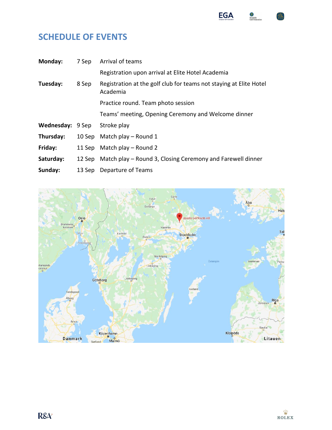

## **SCHEDULE OF EVENTS**

| Monday:                 | 7 Sep | Arrival of teams                                                               |
|-------------------------|-------|--------------------------------------------------------------------------------|
|                         |       | Registration upon arrival at Elite Hotel Academia                              |
| Tuesday:                | 8 Sep | Registration at the golf club for teams not staying at Elite Hotel<br>Academia |
|                         |       | Practice round. Team photo session                                             |
|                         |       | Teams' meeting, Opening Ceremony and Welcome dinner                            |
| <b>Wednesday: 9 Sep</b> |       | Stroke play                                                                    |
| Thursday:               |       | 10 Sep Match play - Round 1                                                    |
| Friday:                 |       | 11 Sep Match play - Round 2                                                    |
| Saturday:               |       | 12 Sep Match play – Round 3, Closing Ceremony and Farewell dinner              |
| Sunday:                 |       | 13 Sep Departure of Teams                                                      |

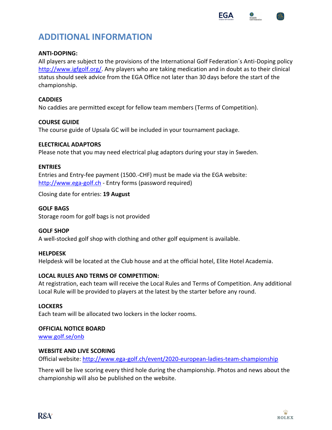

## **ADDITIONAL INFORMATION**

### **ANTI-DOPING:**

All players are subject to the provisions of the International Golf Federation´s Anti-Doping policy [http://www.igfgolf.org/.](http://www.igfgolf.org/) Any players who are taking medication and in doubt as to their clinical status should seek advice from the EGA Office not later than 30 days before the start of the championship.

#### **CADDIES**

No caddies are permitted except for fellow team members (Terms of Competition).

#### **COURSE GUIDE**

The course guide of Upsala GC will be included in your tournament package.

#### **ELECTRICAL ADAPTORS**

Please note that you may need electrical plug adaptors during your stay in Sweden.

#### **ENTRIES**

Entries and Entry-fee payment (1500.-CHF) must be made via the EGA website: [http://www.ega-golf.ch](http://www.ega-golf.ch/) - Entry forms (password required)

Closing date for entries: **19 August**

#### **GOLF BAGS**

Storage room for golf bags is not provided

#### **GOLF SHOP**

A well-stocked golf shop with clothing and other golf equipment is available.

#### **HELPDESK**

Helpdesk will be located at the Club house and at the official hotel, Elite Hotel Academia.

#### **LOCAL RULES AND TERMS OF COMPETITION:**

At registration, each team will receive the Local Rules and Terms of Competition. Any additional Local Rule will be provided to players at the latest by the starter before any round.

#### **LOCKERS**

Each team will be allocated two lockers in the locker rooms.

#### **OFFICIAL NOTICE BOARD**

[www.golf.se/onb](http://www.golf.se/onb)

#### **WEBSITE AND LIVE SCORING**

Official website: <http://www.ega-golf.ch/event/2020-european-ladies-team-championship>

There will be live scoring every third hole during the championship. Photos and news about the championship will also be published on the website.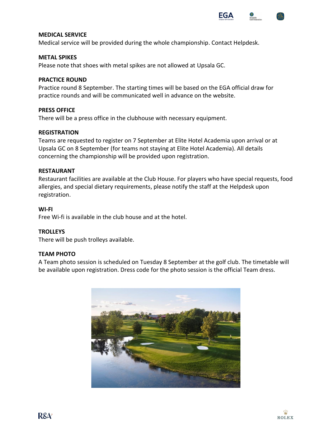

#### **MEDICAL SERVICE**

Medical service will be provided during the whole championship. Contact Helpdesk.

#### **METAL SPIKES**

Please note that shoes with metal spikes are not allowed at Upsala GC.

#### **PRACTICE ROUND**

Practice round 8 September. The starting times will be based on the EGA official draw for practice rounds and will be communicated well in advance on the website.

#### **PRESS OFFICE**

There will be a press office in the clubhouse with necessary equipment.

#### **REGISTRATION**

Teams are requested to register on 7 September at Elite Hotel Academia upon arrival or at Upsala GC on 8 September (for teams not staying at Elite Hotel Academia). All details concerning the championship will be provided upon registration.

#### **RESTAURANT**

Restaurant facilities are available at the Club House. For players who have special requests, food allergies, and special dietary requirements, please notify the staff at the Helpdesk upon registration.

#### **WI-FI**

Free Wi-fi is available in the club house and at the hotel.

#### **TROLLEYS**

There will be push trolleys available.

#### **TEAM PHOTO**

A Team photo session is scheduled on Tuesday 8 September at the golf club. The timetable will be available upon registration. Dress code for the photo session is the official Team dress.